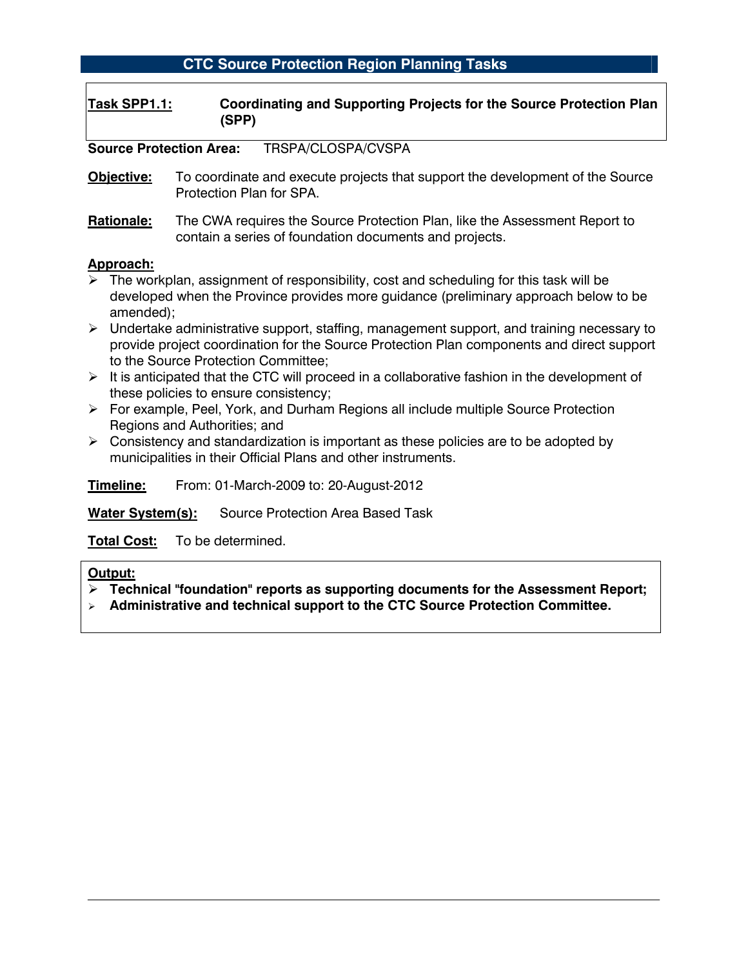| Task SPP1.1: | <b>Coordinating and Supporting Projects for the Source Protection Plan</b> |
|--------------|----------------------------------------------------------------------------|
|              | (SPP)                                                                      |

**Source Protection Area:** TRSPA/CLOSPA/CVSPA

- **Objective:** To coordinate and execute projects that support the development of the Source Protection Plan for SPA.
- **Rationale:** The CWA requires the Source Protection Plan, like the Assessment Report to contain a series of foundation documents and projects.

#### **Approach:**

- $\triangleright$  The workplan, assignment of responsibility, cost and scheduling for this task will be developed when the Province provides more guidance (preliminary approach below to be amended);
- ¾ Undertake administrative support, staffing, management support, and training necessary to provide project coordination for the Source Protection Plan components and direct support to the Source Protection Committee;
- $\triangleright$  It is anticipated that the CTC will proceed in a collaborative fashion in the development of these policies to ensure consistency;
- ¾ For example, Peel, York, and Durham Regions all include multiple Source Protection Regions and Authorities; and
- $\triangleright$  Consistency and standardization is important as these policies are to be adopted by municipalities in their Official Plans and other instruments.

**Timeline:** From: 01-March-2009 to: 20-August-2012

**Water System(s):** Source Protection Area Based Task

**Total Cost:** To be determined.

- ¾ **Technical "foundation" reports as supporting documents for the Assessment Report;**
- ¾ **Administrative and technical support to the CTC Source Protection Committee.**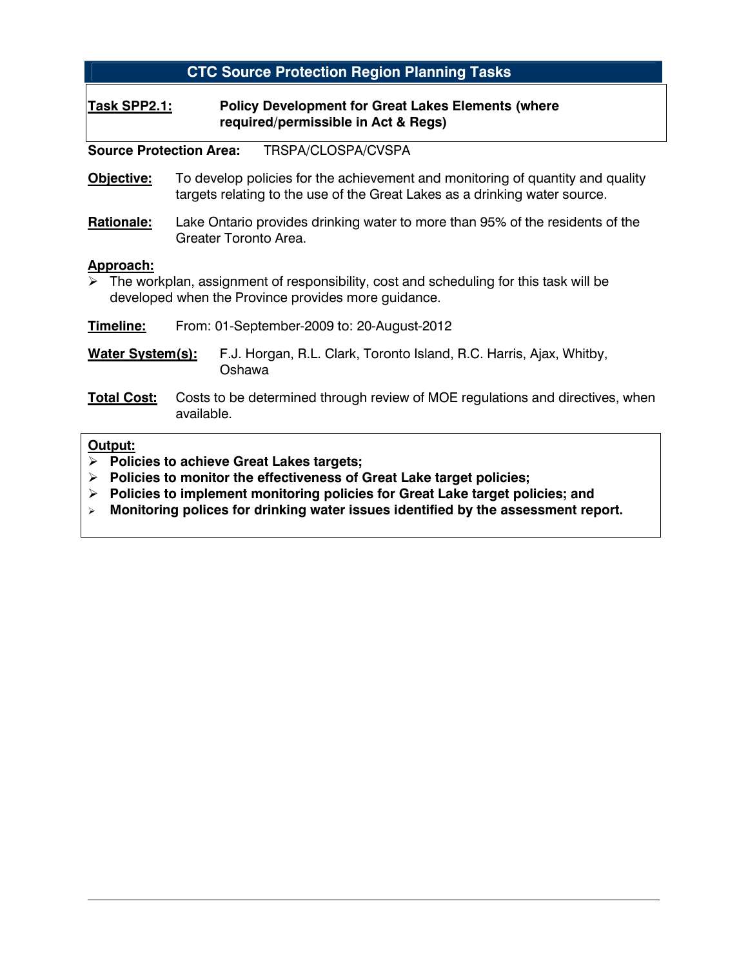### **Task SPP2.1: Policy Development for Great Lakes Elements (where required/permissible in Act & Regs)**

**Source Protection Area:** TRSPA/CLOSPA/CVSPA

- **Objective:** To develop policies for the achievement and monitoring of quantity and quality targets relating to the use of the Great Lakes as a drinking water source.
- **Rationale:** Lake Ontario provides drinking water to more than 95% of the residents of the Greater Toronto Area.

#### **Approach:**

The workplan, assignment of responsibility, cost and scheduling for this task will be developed when the Province provides more guidance.

| Timeline: | From: 01-September-2009 to: 20-August-2012 |
|-----------|--------------------------------------------|
|           |                                            |

**Water System(s):** F.J. Horgan, R.L. Clark, Toronto Island, R.C. Harris, Ajax, Whitby, Oshawa

**Total Cost:** Costs to be determined through review of MOE regulations and directives, when available.

- ¾ **Policies to achieve Great Lakes targets;**
- ¾ **Policies to monitor the effectiveness of Great Lake target policies;**
- ¾ **Policies to implement monitoring policies for Great Lake target policies; and**
- ¾ **Monitoring polices for drinking water issues identified by the assessment report.**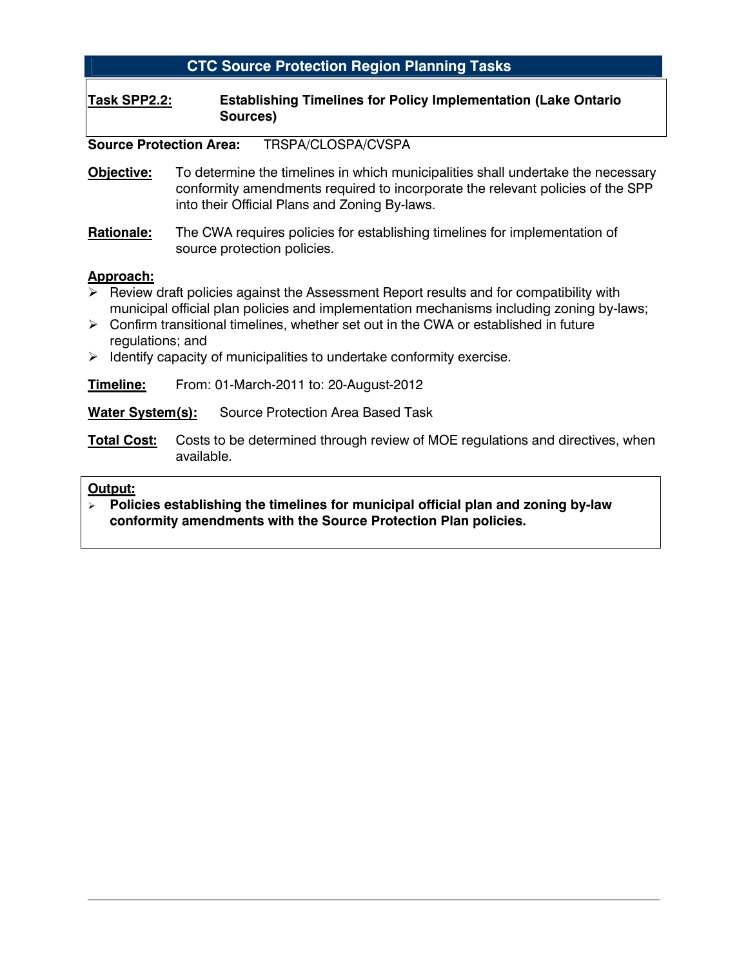| <b>CTC Source Protection Region Planning Tasks</b> |  |
|----------------------------------------------------|--|
|----------------------------------------------------|--|

**Task SPP2.2: Establishing Timelines for Policy Implementation (Lake Ontario Sources)** 

**Source Protection Area:** TRSPA/CLOSPA/CVSPA

**Objective:** To determine the timelines in which municipalities shall undertake the necessary conformity amendments required to incorporate the relevant policies of the SPP into their Official Plans and Zoning By-laws.

**Rationale:** The CWA requires policies for establishing timelines for implementation of source protection policies.

## **Approach:**

- $\triangleright$  Review draft policies against the Assessment Report results and for compatibility with municipal official plan policies and implementation mechanisms including zoning by-laws;
- $\triangleright$  Confirm transitional timelines, whether set out in the CWA or established in future regulations; and
- $\triangleright$  Identify capacity of municipalities to undertake conformity exercise.

**Timeline:** From: 01-March-2011 to: 20-August-2012

**Water System(s):** Source Protection Area Based Task

**Total Cost:** Costs to be determined through review of MOE regulations and directives, when available.

#### **Output:**

¾ **Policies establishing the timelines for municipal official plan and zoning by-law conformity amendments with the Source Protection Plan policies.**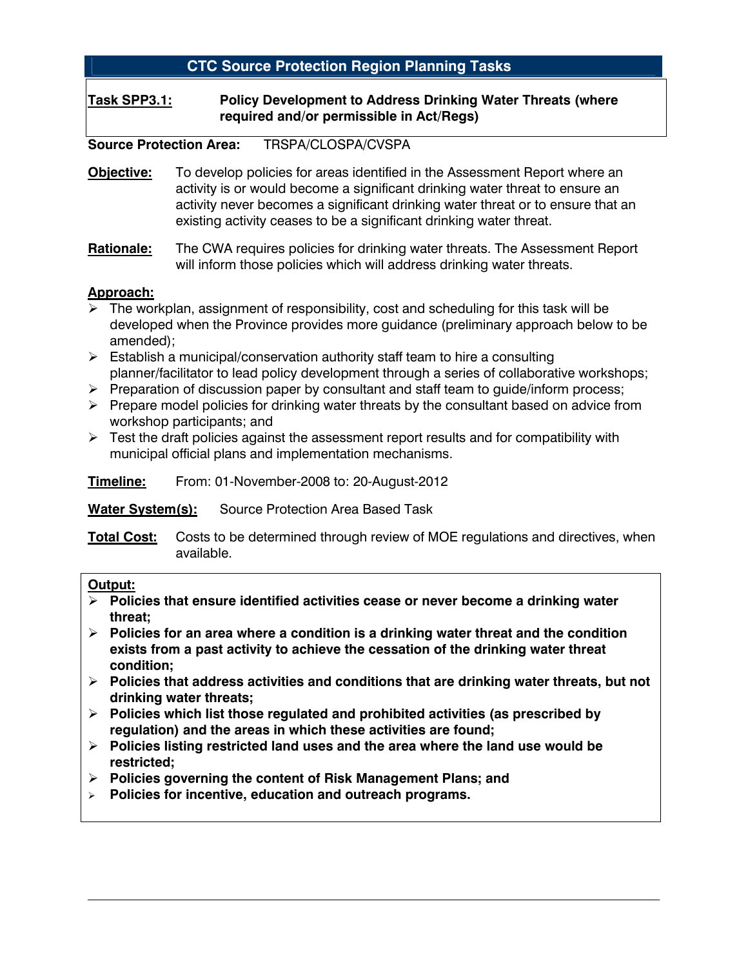## **Task SPP3.1: Policy Development to Address Drinking Water Threats (where required and/or permissible in Act/Regs)**

## **Source Protection Area:** TRSPA/CLOSPA/CVSPA

- **Objective:** To develop policies for areas identified in the Assessment Report where an activity is or would become a significant drinking water threat to ensure an activity never becomes a significant drinking water threat or to ensure that an existing activity ceases to be a significant drinking water threat.
- **Rationale:** The CWA requires policies for drinking water threats. The Assessment Report will inform those policies which will address drinking water threats.

### **Approach:**

- ¾ The workplan, assignment of responsibility, cost and scheduling for this task will be developed when the Province provides more guidance (preliminary approach below to be amended);
- $\triangleright$  Establish a municipal/conservation authority staff team to hire a consulting planner/facilitator to lead policy development through a series of collaborative workshops;
- $\triangleright$  Preparation of discussion paper by consultant and staff team to quide/inform process;
- $\triangleright$  Prepare model policies for drinking water threats by the consultant based on advice from workshop participants; and
- $\triangleright$  Test the draft policies against the assessment report results and for compatibility with municipal official plans and implementation mechanisms.

#### **Timeline:** From: 01-November-2008 to: 20-August-2012

## **Water System(s):** Source Protection Area Based Task

**Total Cost:** Costs to be determined through review of MOE regulations and directives, when available.

- ¾ **Policies that ensure identified activities cease or never become a drinking water threat;**
- ¾ **Policies for an area where a condition is a drinking water threat and the condition exists from a past activity to achieve the cessation of the drinking water threat condition;**
- ¾ **Policies that address activities and conditions that are drinking water threats, but not drinking water threats;**
- ¾ **Policies which list those regulated and prohibited activities (as prescribed by regulation) and the areas in which these activities are found;**
- ¾ **Policies listing restricted land uses and the area where the land use would be restricted;**
- ¾ **Policies governing the content of Risk Management Plans; and**
- ¾ **Policies for incentive, education and outreach programs.**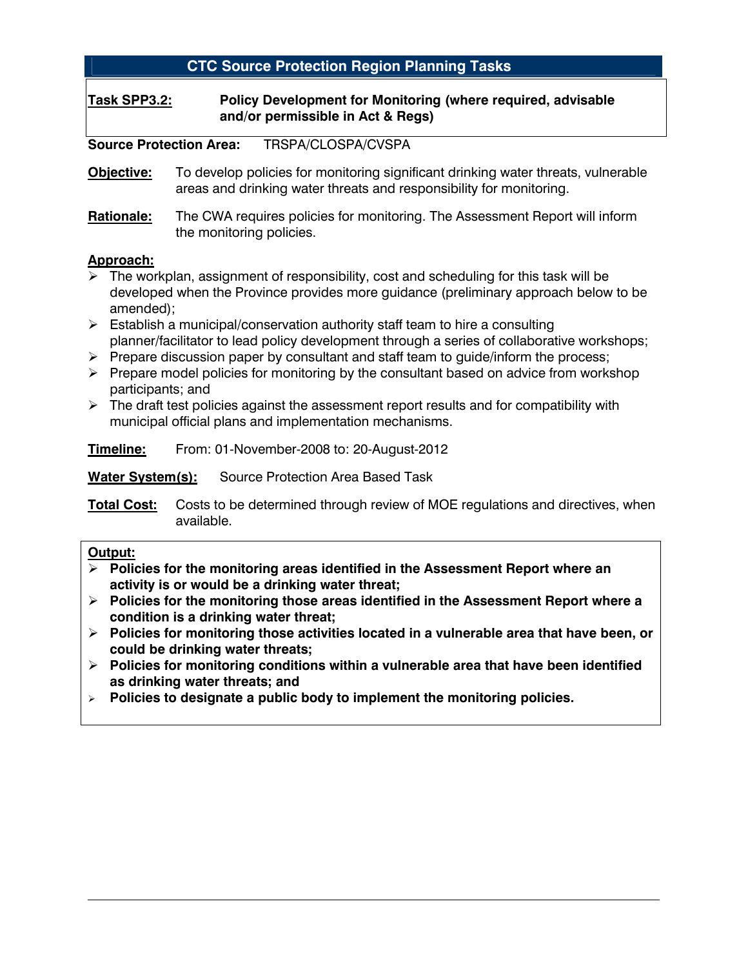**Task SPP3.2: Policy Development for Monitoring (where required, advisable and/or permissible in Act & Regs)** 

**Source Protection Area:** TRSPA/CLOSPA/CVSPA

**Objective:** To develop policies for monitoring significant drinking water threats, vulnerable areas and drinking water threats and responsibility for monitoring.

**Rationale:** The CWA requires policies for monitoring. The Assessment Report will inform the monitoring policies.

### **Approach:**

- $\triangleright$  The workplan, assignment of responsibility, cost and scheduling for this task will be developed when the Province provides more guidance (preliminary approach below to be amended);
- $\triangleright$  Establish a municipal/conservation authority staff team to hire a consulting planner/facilitator to lead policy development through a series of collaborative workshops;
- $\triangleright$  Prepare discussion paper by consultant and staff team to guide/inform the process;
- $\triangleright$  Prepare model policies for monitoring by the consultant based on advice from workshop participants; and
- $\triangleright$  The draft test policies against the assessment report results and for compatibility with municipal official plans and implementation mechanisms.

**Timeline:** From: 01-November-2008 to: 20-August-2012

**Water System(s):** Source Protection Area Based Task

**Total Cost:** Costs to be determined through review of MOE regulations and directives, when available.

- ¾ **Policies for the monitoring areas identified in the Assessment Report where an activity is or would be a drinking water threat;**
- ¾ **Policies for the monitoring those areas identified in the Assessment Report where a condition is a drinking water threat;**
- ¾ **Policies for monitoring those activities located in a vulnerable area that have been, or could be drinking water threats;**
- ¾ **Policies for monitoring conditions within a vulnerable area that have been identified as drinking water threats; and**
- ¾ **Policies to designate a public body to implement the monitoring policies.**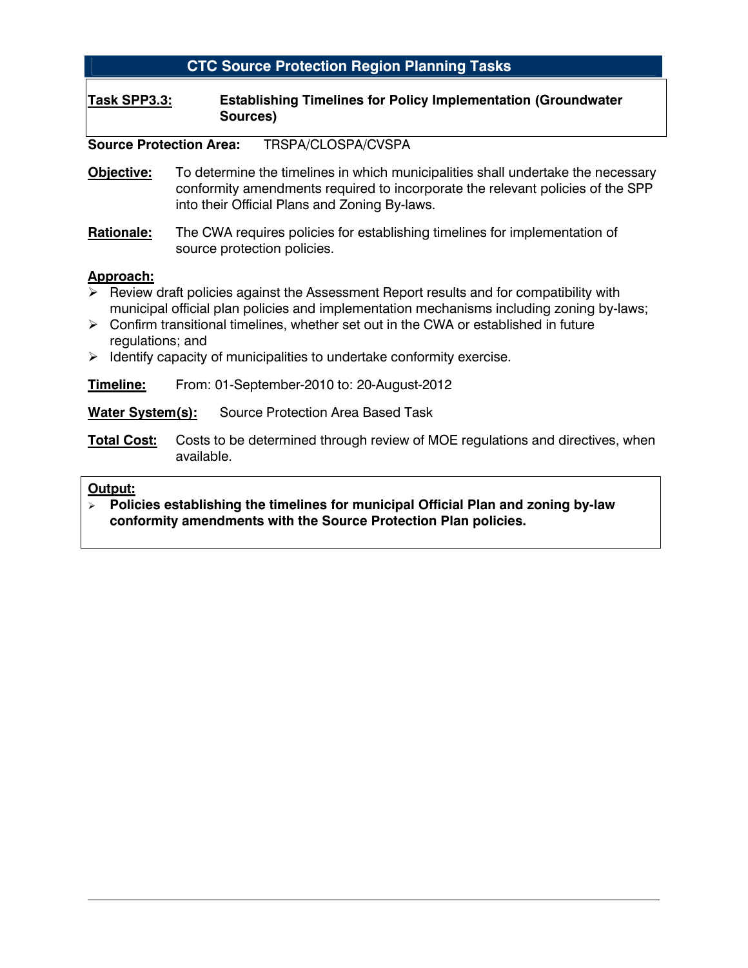| <b>CTC Source Protection Region Planning Tasks</b> |  |
|----------------------------------------------------|--|
|----------------------------------------------------|--|

**Task SPP3.3: Establishing Timelines for Policy Implementation (Groundwater Sources)** 

**Source Protection Area:** TRSPA/CLOSPA/CVSPA

**Objective:** To determine the timelines in which municipalities shall undertake the necessary conformity amendments required to incorporate the relevant policies of the SPP into their Official Plans and Zoning By-laws.

**Rationale:** The CWA requires policies for establishing timelines for implementation of source protection policies.

## **Approach:**

- ¾ Review draft policies against the Assessment Report results and for compatibility with municipal official plan policies and implementation mechanisms including zoning by-laws;
- $\triangleright$  Confirm transitional timelines, whether set out in the CWA or established in future regulations; and
- $\triangleright$  Identify capacity of municipalities to undertake conformity exercise.

**Timeline:** From: 01-September-2010 to: 20-August-2012

**Water System(s):** Source Protection Area Based Task

**Total Cost:** Costs to be determined through review of MOE regulations and directives, when available.

#### **Output:**

¾ **Policies establishing the timelines for municipal Official Plan and zoning by-law conformity amendments with the Source Protection Plan policies.**